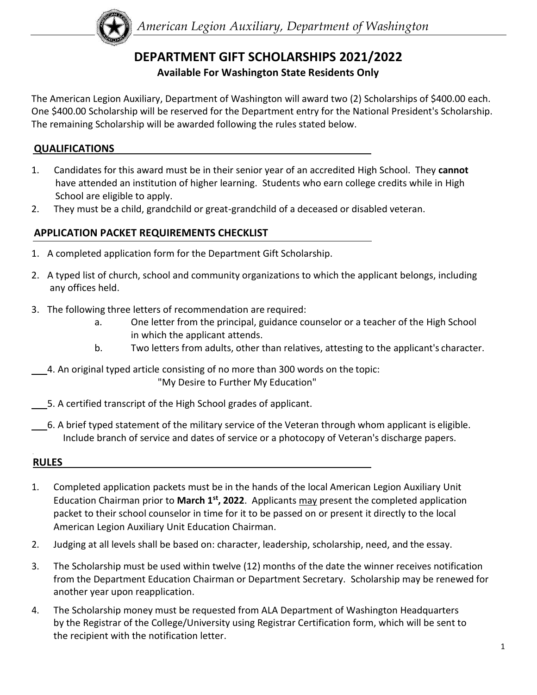

# **DEPARTMENT GIFT SCHOLARSHIPS 2021/2022**

## **Available For Washington State Residents Only**

The American Legion Auxiliary, Department of Washington will award two (2) Scholarships of \$400.00 each. One \$400.00 Scholarship will be reserved for the Department entry for the National President's Scholarship. The remaining Scholarship will be awarded following the rules stated below.

#### **QUALIFICATIONS**

- 1. Candidates for this award must be in their senior year of an accredited High School. They **cannot**  have attended an institution of higher learning. Students who earn college credits while in High School are eligible to apply.
- 2. They must be a child, grandchild or great-grandchild of a deceased or disabled veteran.

### **APPLICATION PACKET REQUIREMENTS CHECKLIST**

- 1. A completed application form for the Department Gift Scholarship.
- 2. A typed list of church, school and community organizations to which the applicant belongs, including any offices held.
- 3. The following three letters of recommendation are required:
	- a. One letter from the principal, guidance counselor or a teacher of the High School in which the applicant attends.
	- b. Two letters from adults, other than relatives, attesting to the applicant's character.
- 4. An original typed article consisting of no more than 300 words on the topic: "My Desire to Further My Education"
- 5. A certified transcript of the High School grades of applicant.
- 6. A brief typed statement of the military service of the Veteran through whom applicant is eligible. Include branch of service and dates of service or a photocopy of Veteran's discharge papers.

#### **RULES**

- 1. Completed application packets must be in the hands of the local American Legion Auxiliary Unit Education Chairman prior to March 1<sup>st</sup>, 2022. Applicants may present the completed application packet to their school counselor in time for it to be passed on or present it directly to the local American Legion Auxiliary Unit Education Chairman.
- 2. Judging at all levels shall be based on: character, leadership, scholarship, need, and the essay.
- 3. The Scholarship must be used within twelve (12) months of the date the winner receives notification from the Department Education Chairman or Department Secretary. Scholarship may be renewed for another year upon reapplication.
- 4. The Scholarship money must be requested from ALA Department of Washington Headquarters by the Registrar of the College/University using Registrar Certification form, which will be sent to the recipient with the notification letter.